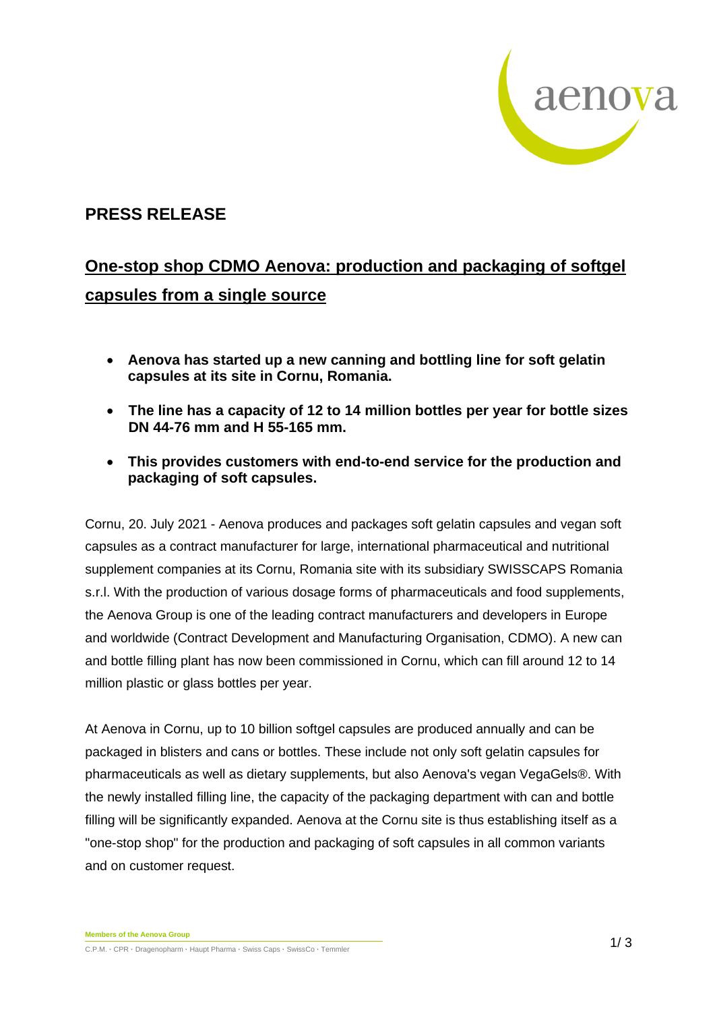

## **PRESS RELEASE**

## **One-stop shop CDMO Aenova: production and packaging of softgel capsules from a single source**

- **Aenova has started up a new canning and bottling line for soft gelatin capsules at its site in Cornu, Romania.**
- **The line has a capacity of 12 to 14 million bottles per year for bottle sizes DN 44-76 mm and H 55-165 mm.**
- **This provides customers with end-to-end service for the production and packaging of soft capsules.**

Cornu, 20. July 2021 - Aenova produces and packages soft gelatin capsules and vegan soft capsules as a contract manufacturer for large, international pharmaceutical and nutritional supplement companies at its Cornu, Romania site with its subsidiary SWISSCAPS Romania s.r.l. With the production of various dosage forms of pharmaceuticals and food supplements, the Aenova Group is one of the leading contract manufacturers and developers in Europe and worldwide (Contract Development and Manufacturing Organisation, CDMO). A new can and bottle filling plant has now been commissioned in Cornu, which can fill around 12 to 14 million plastic or glass bottles per year.

At Aenova in Cornu, up to 10 billion softgel capsules are produced annually and can be packaged in blisters and cans or bottles. These include not only soft gelatin capsules for pharmaceuticals as well as dietary supplements, but also Aenova's vegan VegaGels®. With the newly installed filling line, the capacity of the packaging department with can and bottle filling will be significantly expanded. Aenova at the Cornu site is thus establishing itself as a "one-stop shop" for the production and packaging of soft capsules in all common variants and on customer request.

**Members of the Aenova Group C.**P.M. • CPR • Dragenopharm • Haupt Pharma • Swiss Caps • SwissCo • Temmler 1/ 3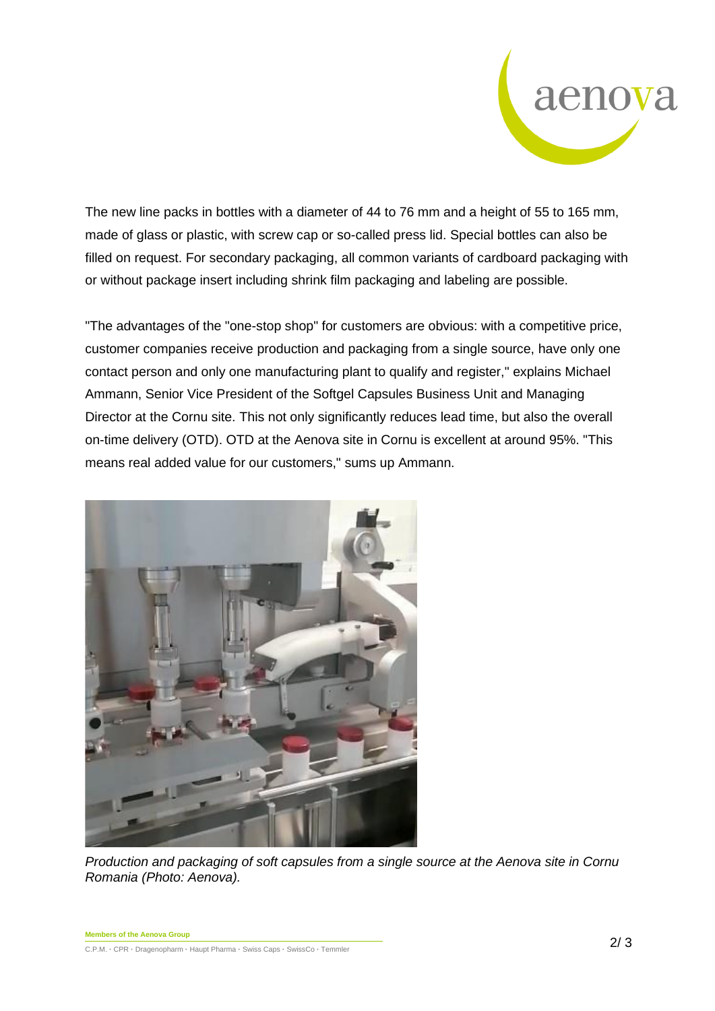

The new line packs in bottles with a diameter of 44 to 76 mm and a height of 55 to 165 mm, made of glass or plastic, with screw cap or so-called press lid. Special bottles can also be filled on request. For secondary packaging, all common variants of cardboard packaging with or without package insert including shrink film packaging and labeling are possible.

"The advantages of the "one-stop shop" for customers are obvious: with a competitive price, customer companies receive production and packaging from a single source, have only one contact person and only one manufacturing plant to qualify and register," explains Michael Ammann, Senior Vice President of the Softgel Capsules Business Unit and Managing Director at the Cornu site. This not only significantly reduces lead time, but also the overall on-time delivery (OTD). OTD at the Aenova site in Cornu is excellent at around 95%. "This means real added value for our customers," sums up Ammann.



*Production and packaging of soft capsules from a single source at the Aenova site in Cornu Romania (Photo: Aenova).*

**Members of the Aenova Group** C.P.M. **·** CPR **·** Dragenopharm **·** Haupt Pharma **·** Swiss Caps **·** SwissCo **·** Temmler 2/ 3